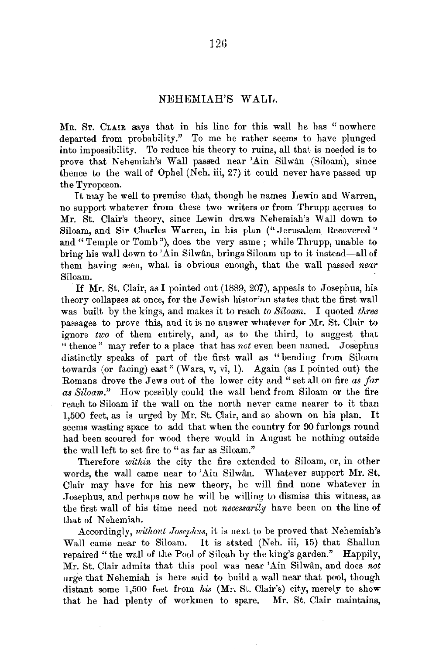## NEHEMIAH'S WALL.

MR. ST. CLAIR says that in his line for this wall he has " nowhere departed from probability." To me he rather seems to have plunged into impossibility. To reduce his theory to ruins, all that is needed is to prove that Nehemiah's Wall passed near 'Ain Silwan (Siloam), since thence to the wall of Ophel (Neh. iii, 27) it could never have passed up the Tyropœon.

It may be well to premise that, though he names Lewin and Warren, no support whatever from these two writers or from Thrupp accrues to Mr. St. Clair's theory, since Lewin draws Nehemiah's Wall down to Siloam, and Sir Charles Warren, in his plan ("Jerusalem Recovered'' and "Temple or Tomb"), does the very same; while Thrupp, unable to bring his wall down to 'Ain Silwân, brings Siloam up to it instead-all of them having seen, what is obvious enough, that the wall passed *near*  Siloam.

If Mr. St. Clair, as I pointed out (1889, 207), appeals to Josephus, his theory collapses at once, for the Jewish historian states that the first wall was built by the kings, and makes it to reach *to Siloarn.* I quoted *three*  passages to prove this, and it is no answer whatever for Mr. St. Clair to ignore *two* of them entirely, and, as to the third, to suggest that " thence" may refer to a place that has *not* even been named. Josephus distinctly speaks of part of the first wall as "bending from Siloam towards (or facing) east" (Wars, v, vi, 1). Again (as I pointed out) the Romans drove the Jews out of the lower city and "set all on fire *as far as Siloam."* How possibly could the wall bend from Siloam or the fire reaeh to Siloam if the wall on the north never came nearer to it than 1,500 feet, as is urged by Mr. St. Clair, and so shown on his plan. It seems wasting space to add that when the country for 90 furlongs round had been scoured for wood there would in August be nothing outside the wall left to set fire to " as far as Siloam."

Therefore *within* the city the fire extended to Siloam, or, in other words, the wall came near to 'Ain Silwân. Whatever support Mr. St. Clair may have for his new theory, be will find none whatever in .T osephus, and perhaps now he will be willing to dismiss this witness, as the first wall of his time need not *necessarily* have been on the line of that of Nehemiah.

Accordingly, *without Josephus,* it is next to be proved that Nehemiah's Wall came near to Siloam. It is stated (Neh. iii, 15) that Shallun repaired "the wall of the Pool of Siloah by the king's garden." Happily, Mr. St. Clair admits that this pool was near 'Ain Silwan, and does *not*  urge that Nehemiah is here said to build a wall near that pool, though distant some 1,500 feet from *his* (Mr. St. Clair's) city, merely to show that be had plenty of workmen to spare. Mr. St. Clair maintains,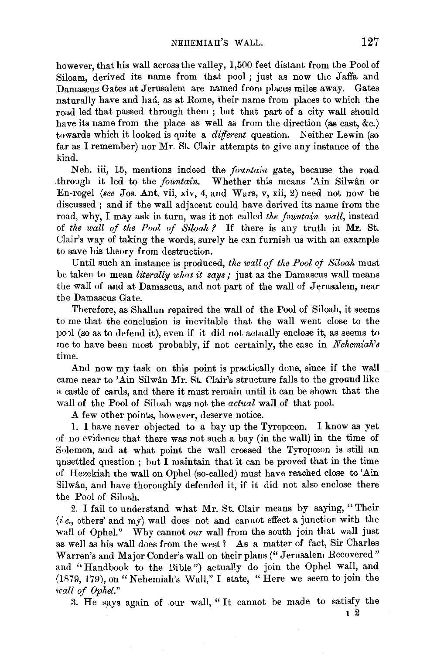however, that his wall across the valley, 1,500 feet distant from the Pool of Siloam, derived its name from that pool; just as now the Jaffa and Damascus Gates at Jerusalem are named from places miles away. Gates naturally have and had, as at Rome, their name from places to which the road led that passed through them ; but that part of a city wall should have its name from the place as well as from the direction (as east, &c.) towards which it looked is quite a *different* question. Neither Lewin (so far as I remember) nor Mr. St. Clair attempts to give any instance of the kind.

Neh. iii, 15, mentions indeed the *fountain* gate, because the road through it led to the *fountain*. Whether this means 'Ain Silwân or En-rogel *(see* Jos. Ant. vii, xiv, 4, and Wars, *v,* xii, 2) need not now be discussed ; and if the wall adjacent could have derived its name from the road, why, I may ask in turn, was it not called *the fountain wall,* instead of *the wall of the Pool of Siloah ?* If there is any truth in Mr. St. Ulair's way of taking the words, surely he can furnish us with an example to save his theory from destruction.

Until such an instance is produced, *the wall of the Pool of Siloah* must be taken to mean *literally what it says;* just as the Damascus wall meaus the wall of and at Damascus, and not part of the wall of Jerusalem, near the Damascus Gate.

Therefore, as Shallun repaired the wall of the Pool of Siloah, it seems to me that the conclusion is inevitable that the wall went close to the po1l (so as to defend it), even if it did not actually enclose it, as seems to me to have been most probably, if not certainly, the case in *Nehemiah's*  time.

And now my task on this point is practically done, since if the wall came near to 'Ain Silwân Mr. St. Clair's structure falls to the ground like a castle of cards, and there it must remain until it can be shown that the wall of the Pool of Siluah was not the *actual* wall of that pool.

A few other points, however, deserve notice.

1. I have never objected to a bay up the Tyropoeon. I know as yet of no evidence that there was not such a bay (in the wall) in the time of S•)lomon, and at what point the wall crossed the Tyropoeon is still an unsettled question : but I maintain that it can be proved that in the time of Hezekiah the wall on Ophel (so-called) must have reached close to' Ain Silwân, and have thoroughly defended it, if it did not also enclose there the Pool of Siloah.

2. I fail to understand what Mr. St. Clair means by saying, "Their  $(i e., others' and my)$  wall does not and cannot effect a junction with the wall of Ophel." Why cannot *our* wall from the south join that wall just as well as his wall does from the west ? As a matter of fact, Sir Charles Warren's and Major Conder's wall on their plans(" Jerusalem Recovered" and "Handbook to the Bible") actually do join the Ophel wall, and (1R79, 179), on "Nehemiah's Wall," I state, "Here we seem to join the *1call of Ophel."* 

:3. He says again of our wall, " It cannot be made to satisfy the

I 2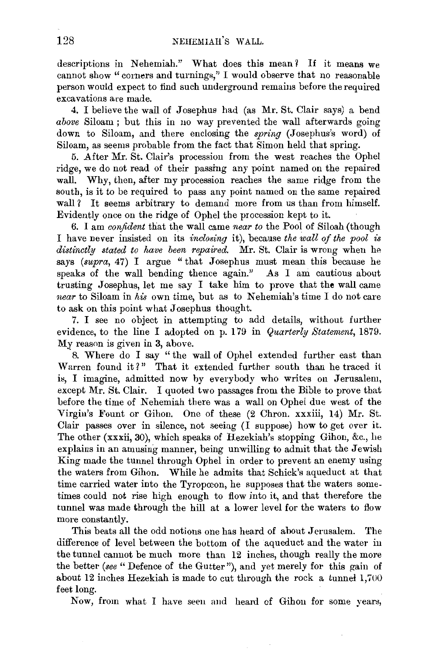descriptions in Nehemiah." What does this mean? If it means we cannot show "corners and turnings," I would observe that no reasonable person would expect to find such underground remains before the required excavations are made.

4. I believe the wall of Josephus had (as Mr. St. Clair says) a bend *above* Siloam ; but this in no way prevented the wall afterwards going down to Siloam, and there enclosing the *spring* (.Josephus's word) of Siloam, as seems probable from the fact that Simon held that spring.

5. After Mr. St. Clair's procession from the west reaches the Ophel ridge, we do not read of their passing any point named on the repaired wall. Why, then, after my procession reaches the same ridge from the south, is it to be required to pass any point named on the same repaired wall? It seems arbitrary to demand more from us than from himself. Evidently once on the ridge of Ophel the procession kept to it.

6. I am *confident* that the wall came *near to* the Pool of Siloah (though I have never insisted on its *inclosing* it), because *the wall of the pool* is distinctly stated to have been repaired. Mr. St. Clair is wrong when he says *(supra, 47)* I argue "that Josephus must mean this because he speaks of the wall bending thence again." As I am cautious about trusting Josephus, let me say I take him to prove that the wall came *near* to Siloam in *his* own time, but as to Nehemiah's time I do not care to ask on this point what Josephus thought.

7. I see no object in attempting to add details, without further evidence, to the line I adopted on p. 179 in *Quarterly Statement,* 1879. My reason is given in 3, above.

8. Where do I say " the wall of Ophel extended further east than Warren found it?" That it extended further south than he traced it is, I imagine, admitted now by everybody who writes on Jerusalem, except Mr. St. Clair. I quoted two passages from the Bible to prove that before the time of Nehemiah there was a wall on Ophel due west of the Virgin's Fount or Gihon. One of these (2 Chron. xxxiii, 14) Mr. St. Clair passes over in silence, not seeing (I suppose) how to get over it. The other (xxxii, 30), which speaks of Hezekiah's stopping Gihon, &c., he explains in an amusing manner, being unwilling to admit that the Jewish King made the tunnel through Ophel in order to prevent an enemy using the waters from Gihon. While he admits that Schick's aqueduct at that time carried water into the Tyropœon, he supposes that the waters sometimes could not rise high enough to flow into it, and that therefore the tunnel was made through the hill at a lower level for the waters to flow more constantly.

This beats all the odd notions one has heard of about Jerusalem. The difference of level between the bottom of the aqueduct and the water in the tunnel cannot be much more than 12 inches, though really the more the better *(see* "Defence of the Gutter"), and yet merely for this gain of about 12 inches Hezekiah is made to cut through the rock a tunnel 1,700 feet long.

Now, from what I have seen and heard cf Gihon for some years,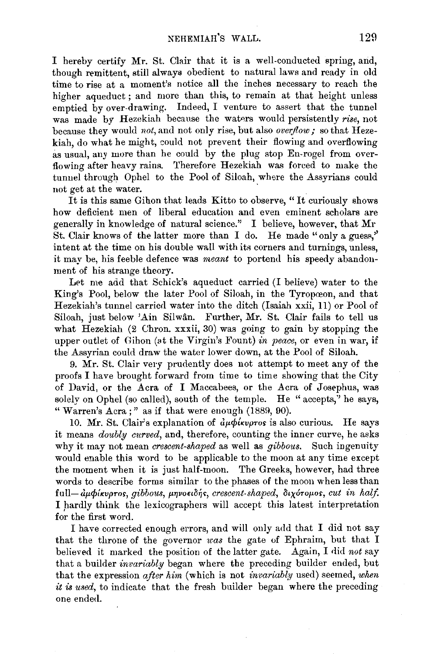I hereby certify Mr. St. Clair that it is a well-conducted spring, and, though remittent, still always obedient to natural laws and ready in old time to rise at a moment's notice all the inches necessary to reach the higher aqueduct ; and more than this, to remain at that height unless emptied by over-drawing. Indeed, I venture to assert that the tunnel was made by Hezekiah because the waters would persistently *rise*, not because they would *not,* and not only rise, but also *overflow;* so that Hezekiah, do what he might, could not prevent their flowing and overflowing as usual, any more than he could by the plug stop En-rogel from overflowing after heavy rains. Therefore Hezekiah was forced to make the tunnel through Ophel to the Pool of Siloah, where the Assyrians could not get at the water.

It is this same Gihon that leads Kitto to observe, "It curiously shows how deficient men of liberal education and even eminent scholars are generally in knowledge of natural science." I believe, however, that Mr St. Clair knows of the latter more than I do. He made "only a guess," intent at the time on his double wall with its corners and turnings, unless, it may be, his feeble defence was *meant* to portend his speedy abandonment of his strange theory.

Let me add that Schick's aqueduct carried (I believe) water to the King's Pool, below the later Pool of Siloah, in the Tyropceon, and that Hezekiah's tunnel carried water into the ditch (Isaiah xxii, 11) or Pool of Siloah, just below 'Ain Silwân. Further, Mr. St. Clair fails to tell us what Hezekiah (2 Chron. xxxii, 30) was going to gain by stopping the upper outlet of Gihon (at the Virgin's Fount) *in peace*, or even in war, if the Assyrian could draw the water lower down, at the Pool of Siloah.

9. Mr. St. Clair very prudently does not attempt to meet any of the proofs I have brought forward from time to time showing that the City of David, or the Acra of I Maccabees, or the Acra of Josephus, was solely on Ophel (so called), south of the temple. He "accepts," he says, "Warren's Acra;" as if that were enough (1889, 90).

10. Mr. St. Clair's explanation of  $d\mu\phi$ *i* $k\nu\rho\tau$ os is also curious. He says it means *doubly curved,* and, therefore, counting the inner curve, he asks why it may not mean *crescent-shaped* as well as *gibbous.* Such ingenuity would enable this word to be applicable to the moon at any time except the moment when it is just half-moon. The Greeks, however, had three words to describe forms similar to the phases of the moon when less than full-αμφίκυρτος, gibbous, μηνοειδής, crescent-shaped, διχότομος, cut in half. I hardly think the lexicographers will accept this latest interpretation for the first word.

I have corrected enough errors, and will only add that I did not say that the throne of the governor *was* the gate of Ephraim, but that I believed it marked the position of the latter gate. Again, I did not say that a builder *invariably* began where the preceding builder ended, but that the expression *after him* (which is not *invariably* used) seemed, when *it* is *used,* to indicate that the fresh builder began where the preceding one ende<l.